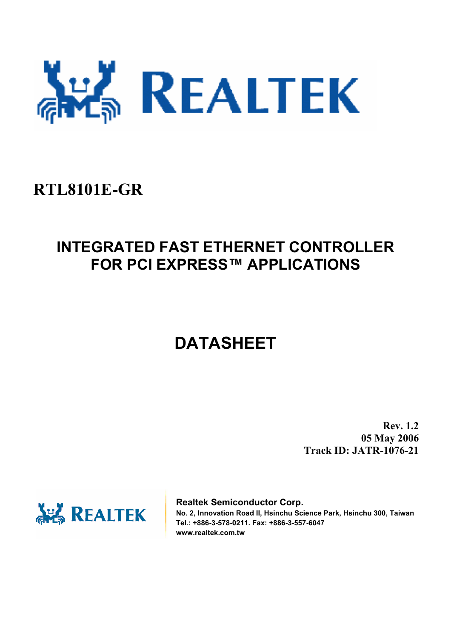

# **RTL8101E-GR**

# **INTEGRATED FAST ETHERNET CONTROLLER FOR PCI EXPRESS™ APPLICATIONS**

# **DATASHEET**

**Rev. 1.2 05 May 2006 Track ID: JATR-1076-21** 



**Realtek Semiconductor Corp. No. 2, Innovation Road II, Hsinchu Science Park, Hsinchu 300, Taiwan Tel.: +886-3-578-0211. Fax: +886-3-557-6047 www.realtek.com.tw**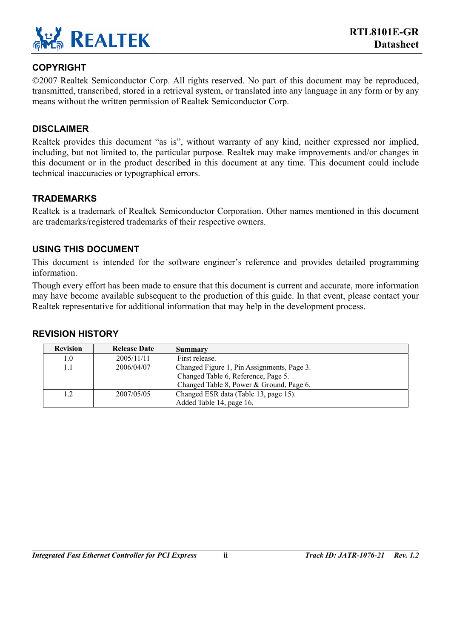

#### **COPYRIGHT**

©2007 Realtek Semiconductor Corp. All rights reserved. No part of this document may be reproduced, transmitted, transcribed, stored in a retrieval system, or translated into any language in any form or by any means without the written permission of Realtek Semiconductor Corp.

#### **DISCLAIMER**

Realtek provides this document "as is", without warranty of any kind, neither expressed nor implied, including, but not limited to, the particular purpose. Realtek may make improvements and/or changes in this document or in the product described in this document at any time. This document could include technical inaccuracies or typographical errors.

#### **TRADEMARKS**

Realtek is a trademark of Realtek Semiconductor Corporation. Other names mentioned in this document are trademarks/registered trademarks of their respective owners.

#### **USING THIS DOCUMENT**

This document is intended for the software engineer's reference and provides detailed programming information.

Though every effort has been made to ensure that this document is current and accurate, more information may have become available subsequent to the production of this guide. In that event, please contact your Realtek representative for additional information that may help in the development process.

#### **REVISION HISTORY**

| <b>Revision</b> | <b>Release Date</b> | Summary                                                                                                                       |
|-----------------|---------------------|-------------------------------------------------------------------------------------------------------------------------------|
| 1.0             | 2005/11/11          | First release.                                                                                                                |
| 1.1             | 2006/04/07          | Changed Figure 1, Pin Assignments, Page 3.<br>Changed Table 6, Reference, Page 5.<br>Changed Table 8, Power & Ground, Page 6. |
| 1.2             | 2007/05/05          | Changed ESR data (Table 13, page 15).<br>Added Table 14, page 16.                                                             |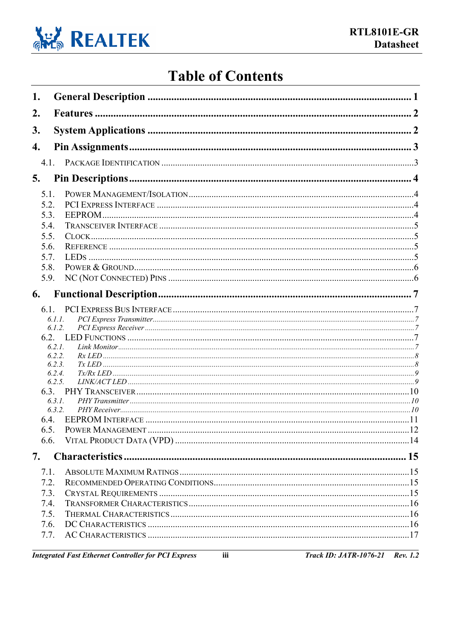

# **Table of Contents**

| 1. |                  |  |
|----|------------------|--|
| 2. |                  |  |
| 3. |                  |  |
| 4. |                  |  |
|    |                  |  |
| 5. |                  |  |
|    |                  |  |
|    | 5.1.             |  |
|    | 5.2.<br>5.3.     |  |
|    | 5.4.             |  |
|    | 5.5.             |  |
|    | 5.6.             |  |
|    | 5.7.             |  |
|    | 5.8.             |  |
|    | 5.9.             |  |
| 6. |                  |  |
|    |                  |  |
|    | 6.1.1.           |  |
|    | 6.1.2.           |  |
|    |                  |  |
|    | 6.2.1.           |  |
|    | 6.2.2.<br>6.2.3. |  |
|    | 6.2.4.           |  |
|    | 6.2.5.           |  |
|    |                  |  |
|    | 6.3.1.<br>6.3.2. |  |
|    | 6.4.             |  |
|    | 6.5.             |  |
|    | 6.6.             |  |
| 7. |                  |  |
|    | 7.1.             |  |
|    | 7.2.             |  |
|    | 7.3.             |  |
|    | 7.4.             |  |
|    | 7.5.             |  |
|    | 7.6.             |  |
|    | 7.7.             |  |
|    |                  |  |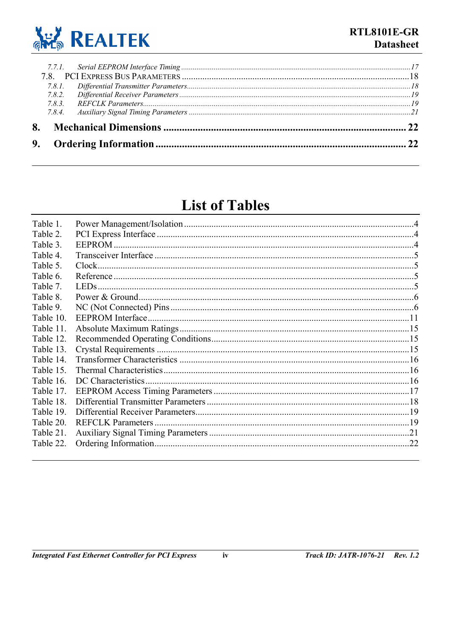

| 783    |  |
|--------|--|
|        |  |
| 7.8.1. |  |
|        |  |
|        |  |

# **List of Tables**

| Table 1.  |                     |     |
|-----------|---------------------|-----|
| Table 2.  |                     |     |
| Table 3.  |                     |     |
| Table 4.  |                     |     |
| Table 5.  |                     |     |
| Table 6.  |                     |     |
| Table 7.  |                     |     |
| Table 8.  |                     |     |
| Table 9.  |                     |     |
| Table 10. |                     |     |
| Table 11. |                     |     |
| Table 12. |                     |     |
| Table 13. |                     |     |
| Table 14. |                     |     |
| Table 15. |                     |     |
| Table 16. | DC Characteristics. |     |
| Table 17. |                     |     |
| Table 18. |                     |     |
| Table 19. |                     |     |
| Table 20. |                     |     |
| Table 21. |                     |     |
| Table 22. |                     | .22 |
|           |                     |     |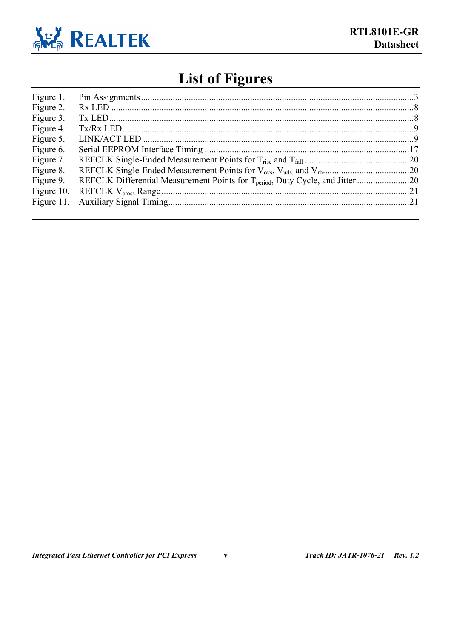

# **List of Figures**

| Figure 1.  |                                                                                            |  |
|------------|--------------------------------------------------------------------------------------------|--|
| Figure 2.  |                                                                                            |  |
| Figure 3.  |                                                                                            |  |
| Figure 4.  |                                                                                            |  |
| Figure 5.  |                                                                                            |  |
| Figure 6.  |                                                                                            |  |
| Figure 7.  |                                                                                            |  |
| Figure 8.  |                                                                                            |  |
| Figure 9.  | REFCLK Differential Measurement Points for T <sub>period</sub> , Duty Cycle, and Jitter 20 |  |
| Figure 10. |                                                                                            |  |
|            |                                                                                            |  |
|            |                                                                                            |  |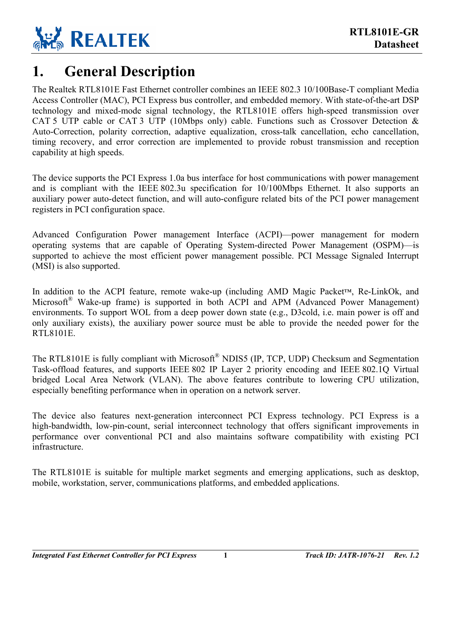

### <span id="page-5-0"></span>**1. General Description**

The Realtek RTL8101E Fast Ethernet controller combines an IEEE 802.3 10/100Base-T compliant Media Access Controller (MAC), PCI Express bus controller, and embedded memory. With state-of-the-art DSP technology and mixed-mode signal technology, the RTL8101E offers high-speed transmission over CAT 5 UTP cable or CAT 3 UTP (10Mbps only) cable. Functions such as Crossover Detection  $\&$ Auto-Correction, polarity correction, adaptive equalization, cross-talk cancellation, echo cancellation, timing recovery, and error correction are implemented to provide robust transmission and reception capability at high speeds.

The device supports the PCI Express 1.0a bus interface for host communications with power management and is compliant with the IEEE 802.3u specification for 10/100Mbps Ethernet. It also supports an auxiliary power auto-detect function, and will auto-configure related bits of the PCI power management registers in PCI configuration space.

Advanced Configuration Power management Interface (ACPI)—power management for modern operating systems that are capable of Operating System-directed Power Management (OSPM)—is supported to achieve the most efficient power management possible. PCI Message Signaled Interrupt (MSI) is also supported.

In addition to the ACPI feature, remote wake-up (including AMD Magic Packet™, Re-LinkOk, and Microsoft<sup>®</sup> Wake-up frame) is supported in both ACPI and APM (Advanced Power Management) environments. To support WOL from a deep power down state (e.g., D3cold, i.e. main power is off and only auxiliary exists), the auxiliary power source must be able to provide the needed power for the RTL8101E.

The RTL8101E is fully compliant with Microsoft<sup>®</sup> NDIS5 (IP, TCP, UDP) Checksum and Segmentation Task-offload features, and supports IEEE 802 IP Layer 2 priority encoding and IEEE 802.1Q Virtual bridged Local Area Network (VLAN). The above features contribute to lowering CPU utilization, especially benefiting performance when in operation on a network server.

The device also features next-generation interconnect PCI Express technology. PCI Express is a high-bandwidth, low-pin-count, serial interconnect technology that offers significant improvements in performance over conventional PCI and also maintains software compatibility with existing PCI infrastructure.

The RTL8101E is suitable for multiple market segments and emerging applications, such as desktop, mobile, workstation, server, communications platforms, and embedded applications.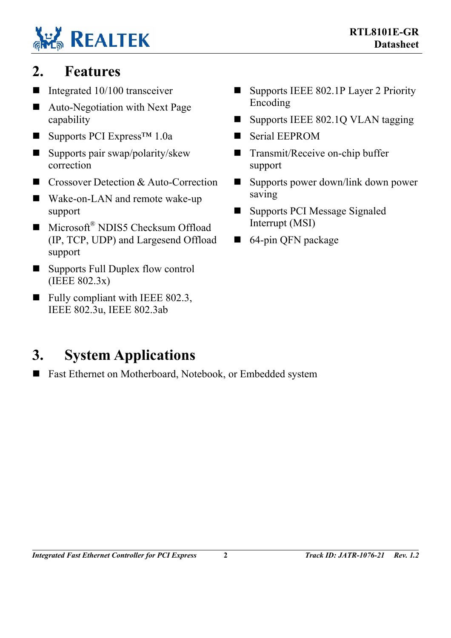# **REALTEK**

# <span id="page-6-0"></span>**2. Features**

- Integrated  $10/100$  transceiver
- Auto-Negotiation with Next Page capability
- Supports PCI Express<sup>™</sup> 1.0a
- Supports pair swap/polarity/skew correction
- Crossover Detection & Auto-Correction
- Wake-on-LAN and remote wake-up support
- $\blacksquare$  Microsoft<sup>®</sup> NDIS5 Checksum Offload (IP, TCP, UDP) and Largesend Offload support
- Supports Full Duplex flow control (IEEE 802.3x)
- $\blacksquare$  Fully compliant with IEEE 802.3, IEEE 802.3u, IEEE 802.3ab

# <span id="page-6-1"></span>**3. System Applications**

■ Fast Ethernet on Motherboard, Notebook, or Embedded system

- Supports IEEE 802.1P Layer 2 Priority Encoding
- Supports IEEE 802.1Q VLAN tagging
- Serial EEPROM
- Transmit/Receive on-chip buffer support
- Supports power down/link down power saving
- Supports PCI Message Signaled Interrupt (MSI)
- 64-pin QFN package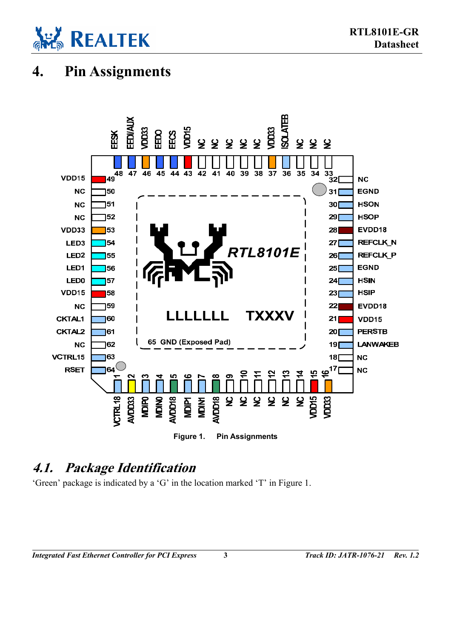

# <span id="page-7-2"></span>**4. Pin Assignments**

<span id="page-7-0"></span>

### <span id="page-7-3"></span>**4.1. Package Identification**

'Green' package is indicated by a 'G' in the location marked 'T' in [Figure 1.](#page-7-0)

<span id="page-7-1"></span>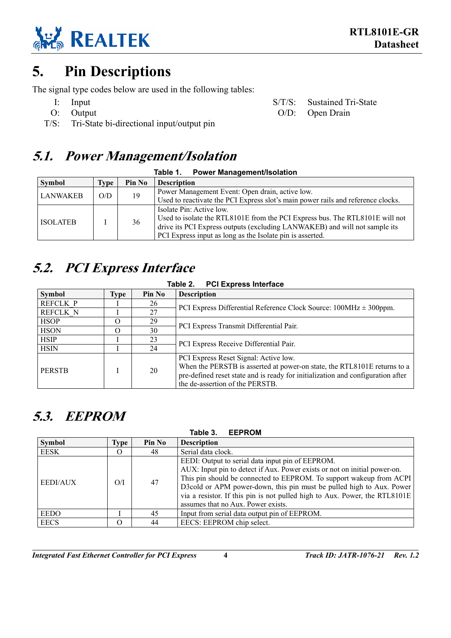

# <span id="page-8-0"></span>**5. Pin Descriptions**

The signal type codes below are used in the following tables:

- 
- 
- T/S: Tri-State bi-directional input/output pin

### <span id="page-8-1"></span>**5.1. Power Management/Isolation**

| <b>Power Management/Isolation</b><br>Table 1. |      |        |                                                                                  |  |
|-----------------------------------------------|------|--------|----------------------------------------------------------------------------------|--|
| <b>Symbol</b>                                 | Type | Pin No | <b>Description</b>                                                               |  |
| <b>LANWAKEB</b>                               | O/D  | 19     | Power Management Event: Open drain, active low.                                  |  |
|                                               |      |        | Used to reactivate the PCI Express slot's main power rails and reference clocks. |  |
|                                               |      |        | Isolate Pin: Active low.                                                         |  |
| <b>ISOLATEB</b>                               |      | 36     | Used to isolate the RTL8101E from the PCI Express bus. The RTL8101E will not     |  |
|                                               |      |        | drive its PCI Express outputs (excluding LANWAKEB) and will not sample its       |  |
|                                               |      |        | PCI Express input as long as the Isolate pin is asserted.                        |  |

# <span id="page-8-2"></span>**5.2. PCI Express Interface**

<span id="page-8-6"></span><span id="page-8-5"></span><span id="page-8-4"></span>

| Table 2. | <b>PCI Express Interface</b> |
|----------|------------------------------|
|          |                              |

| <b>Symbol</b>   | Type | Pin No | <b>Description</b>                                                              |
|-----------------|------|--------|---------------------------------------------------------------------------------|
| <b>REFCLK P</b> |      | 26     | PCI Express Differential Reference Clock Source: $100MHz \pm 300ppm$ .          |
| <b>REFCLK N</b> |      | 27     |                                                                                 |
| <b>HSOP</b>     |      | 29     | PCI Express Transmit Differential Pair.                                         |
| <b>HSON</b>     |      | 30     |                                                                                 |
| <b>HSIP</b>     |      | 23     | PCI Express Receive Differential Pair.                                          |
| <b>HSIN</b>     |      | 24     |                                                                                 |
|                 |      |        | PCI Express Reset Signal: Active low.                                           |
| <b>PERSTB</b>   |      | 20     | When the PERSTB is asserted at power-on state, the RTL8101E returns to a        |
|                 |      |        | pre-defined reset state and is ready for initialization and configuration after |
|                 |      |        | the de-assertion of the PERSTB.                                                 |

# <span id="page-8-3"></span>**5.3. EEPROM**

| Table 3.<br><b>EEPROM</b> |          |        |                                                                                                                                                                                                                                                                                                                                                            |  |
|---------------------------|----------|--------|------------------------------------------------------------------------------------------------------------------------------------------------------------------------------------------------------------------------------------------------------------------------------------------------------------------------------------------------------------|--|
| <b>Symbol</b>             | Type     | Pin No | <b>Description</b>                                                                                                                                                                                                                                                                                                                                         |  |
| <b>EESK</b>               | $\Omega$ | 48     | Serial data clock.                                                                                                                                                                                                                                                                                                                                         |  |
| <b>EEDI/AUX</b>           | O/I      | 47     | EEDI: Output to serial data input pin of EEPROM.<br>AUX: Input pin to detect if Aux. Power exists or not on initial power-on.<br>This pin should be connected to EEPROM. To support wakeup from ACPI<br>D3cold or APM power-down, this pin must be pulled high to Aux. Power<br>via a resistor. If this pin is not pulled high to Aux. Power, the RTL8101E |  |
| <b>EEDO</b>               |          | 45     | assumes that no Aux. Power exists.<br>Input from serial data output pin of EEPROM.                                                                                                                                                                                                                                                                         |  |
| <b>EECS</b>               | O        | 44     | EECS: EEPROM chip select.                                                                                                                                                                                                                                                                                                                                  |  |

*Integrated Fast Ethernet Controller for PCI Express* **4** *Track ID: JATR-1076-21 Rev. 1.2*

I: Input S/T/S: Sustained Tri-State O: Output O/D: Open Drain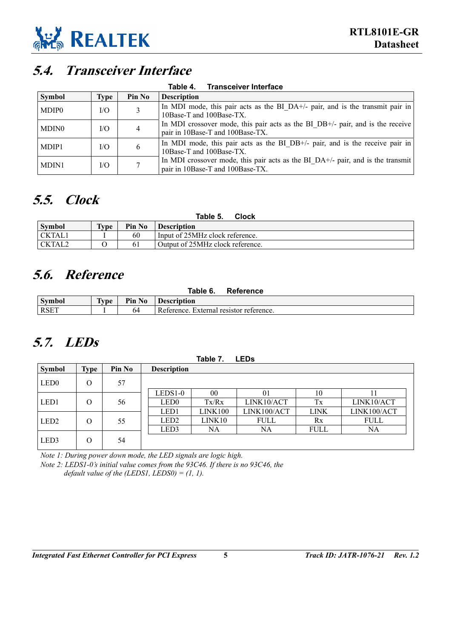

### <span id="page-9-2"></span>**5.4. Transceiver Interface**

<span id="page-9-6"></span>

| <b>Transceiver Interface</b><br>Table 4. |      |        |                                                                                                                     |  |  |
|------------------------------------------|------|--------|---------------------------------------------------------------------------------------------------------------------|--|--|
| Symbol                                   | Type | Pin No | <b>Description</b>                                                                                                  |  |  |
| MDIP0                                    | I/O  | 3      | In MDI mode, this pair acts as the BI DA+/- pair, and is the transmit pair in<br>10Base-T and 100Base-TX.           |  |  |
| MDIN0                                    | I/O  | 4      | In MDI crossover mode, this pair acts as the BI DB+/- pair, and is the receive<br>pair in 10Base-T and 100Base-TX.  |  |  |
| MDIP1                                    | I/O  | 6      | In MDI mode, this pair acts as the BI DB+/- pair, and is the receive pair in<br>10Base-T and 100Base-TX.            |  |  |
| MDIN1                                    | I/O  |        | In MDI crossover mode, this pair acts as the BI DA+/- pair, and is the transmit<br>pair in 10Base-T and 100Base-TX. |  |  |

# <span id="page-9-3"></span>**5.5. Clock**

<span id="page-9-7"></span>

| Table 5.<br>Clock |      |        |                                  |  |
|-------------------|------|--------|----------------------------------|--|
| <b>Symbol</b>     | Type | Pin No | <b>Description</b>               |  |
| <b>CKTAL1</b>     |      | 60     | Input of 25MHz clock reference.  |  |
| CKTAL2            |      |        | Output of 25MHz clock reference. |  |

# <span id="page-9-4"></span>**5.6. Reference**

<span id="page-9-1"></span><span id="page-9-0"></span>

| Table 6.<br>Reference |                    |        |                                         |  |
|-----------------------|--------------------|--------|-----------------------------------------|--|
| <b>Symbol</b>         | $T$ <sub>vpe</sub> | Pin No | <b>Description</b>                      |  |
| <b>RSET</b>           |                    |        | Reference. External resistor reference. |  |

# <span id="page-9-5"></span>**5.7. LEDs**

<span id="page-9-8"></span>

|                  |             |        |                    | Table 7.       | <b>LEDs</b>    |             |             |
|------------------|-------------|--------|--------------------|----------------|----------------|-------------|-------------|
| <b>Symbol</b>    | <b>Type</b> | Pin No | <b>Description</b> |                |                |             |             |
| LED <sub>0</sub> | O           | 57     |                    |                |                |             |             |
|                  |             |        | LEDS1-0            | 00             | 0 <sub>1</sub> | 10          |             |
| LED1             | O           | 56     | LED <sub>0</sub>   | Tx/Rx          | LINK10/ACT     | Tx          | LINK10/ACT  |
|                  |             |        | LED1               | <b>LINK100</b> | LINK100/ACT    | <b>LINK</b> | LINK100/ACT |
| LED <sub>2</sub> | O           | 55     | LED <sub>2</sub>   | LINK10         | <b>FULL</b>    | Rx          | FULL        |
|                  |             |        | LED3               | NA             | NA             | <b>FULL</b> | NA          |
| LED3             | O           | 54     |                    |                |                |             |             |

*Note 1: During power down mode, the LED signals are logic high. Note 2: LEDS1-0's initial value comes from the 93C46. If there is no 93C46, the default value of the (LEDS1, LEDS0) = (1, 1).*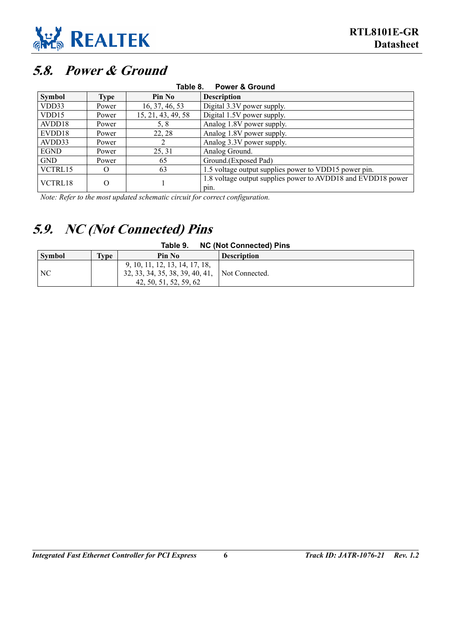

# <span id="page-10-2"></span>**5.8. Power & Ground**

<span id="page-10-0"></span>

| <b>Power &amp; Ground</b><br>Table 8. |          |                    |                                                                      |  |  |  |
|---------------------------------------|----------|--------------------|----------------------------------------------------------------------|--|--|--|
| <b>Symbol</b>                         | Type     | <b>Pin No</b>      | <b>Description</b>                                                   |  |  |  |
| VDD33                                 | Power    | 16, 37, 46, 53     | Digital 3.3V power supply.                                           |  |  |  |
| VDD15                                 | Power    | 15, 21, 43, 49, 58 | Digital 1.5V power supply.                                           |  |  |  |
| AVDD18                                | Power    | 5, 8               | Analog 1.8V power supply.                                            |  |  |  |
| EVDD18                                | Power    | 22, 28             | Analog 1.8V power supply.                                            |  |  |  |
| AVDD33                                | Power    |                    | Analog 3.3V power supply.                                            |  |  |  |
| <b>EGND</b>                           | Power    | 25, 31             | Analog Ground.                                                       |  |  |  |
| <b>GND</b>                            | Power    | 65                 | Ground.(Exposed Pad)                                                 |  |  |  |
| VCTRL15                               | $\Omega$ | 63                 | 1.5 voltage output supplies power to VDD15 power pin.                |  |  |  |
| VCTRL18                               | $\Omega$ |                    | 1.8 voltage output supplies power to AVDD18 and EVDD18 power<br>pin. |  |  |  |

*Note: Refer to the most updated schematic circuit for correct configuration.* 

# <span id="page-10-3"></span>**5.9. NC (Not Connected) Pins**

#### <span id="page-10-4"></span><span id="page-10-1"></span>**Table 9. NC (Not Connected) Pins**

| <b>Symbol</b> | $\mathbf{q}$ | Pin No                                                                                      | <b>Description</b> |
|---------------|--------------|---------------------------------------------------------------------------------------------|--------------------|
| NC            |              | 9, 10, 11, 12, 13, 14, 17, 18,<br>32, 33, 34, 35, 38, 39, 40, 41,<br>42, 50, 51, 52, 59, 62 | Not Connected.     |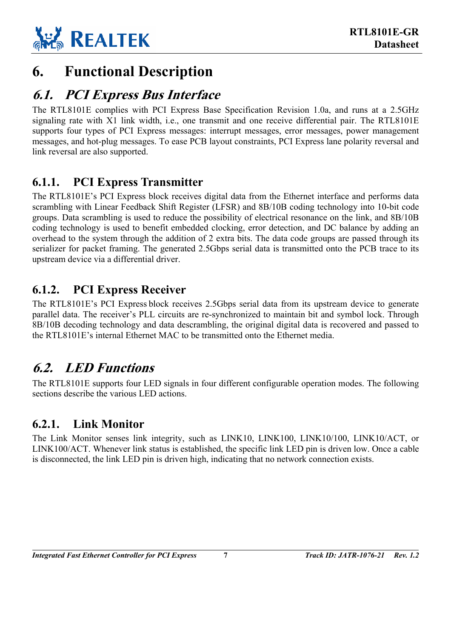

# <span id="page-11-0"></span>**6. Functional Description**

### <span id="page-11-1"></span>**6.1. PCI Express Bus Interface**

The RTL8101E complies with PCI Express Base Specification Revision 1.0a, and runs at a 2.5GHz signaling rate with X1 link width, i.e., one transmit and one receive differential pair. The RTL8101E supports four types of PCI Express messages: interrupt messages, error messages, power management messages, and hot-plug messages. To ease PCB layout constraints, PCI Express lane polarity reversal and link reversal are also supported.

### <span id="page-11-2"></span>**6.1.1. PCI Express Transmitter**

The RTL8101E's PCI Express block receives digital data from the Ethernet interface and performs data scrambling with Linear Feedback Shift Register (LFSR) and 8B/10B coding technology into 10-bit code groups. Data scrambling is used to reduce the possibility of electrical resonance on the link, and 8B/10B coding technology is used to benefit embedded clocking, error detection, and DC balance by adding an overhead to the system through the addition of 2 extra bits. The data code groups are passed through its serializer for packet framing. The generated 2.5Gbps serial data is transmitted onto the PCB trace to its upstream device via a differential driver.

### <span id="page-11-3"></span>**6.1.2. PCI Express Receiver**

The RTL8101E's PCI Express block receives 2.5Gbps serial data from its upstream device to generate parallel data. The receiver's PLL circuits are re-synchronized to maintain bit and symbol lock. Through 8B/10B decoding technology and data descrambling, the original digital data is recovered and passed to the RTL8101E's internal Ethernet MAC to be transmitted onto the Ethernet media.

# <span id="page-11-4"></span>**6.2. LED Functions**

The RTL8101E supports four LED signals in four different configurable operation modes. The following sections describe the various LED actions.

### <span id="page-11-5"></span>**6.2.1. Link Monitor**

The Link Monitor senses link integrity, such as LINK10, LINK100, LINK10/100, LINK10/ACT, or LINK100/ACT. Whenever link status is established, the specific link LED pin is driven low. Once a cable is disconnected, the link LED pin is driven high, indicating that no network connection exists.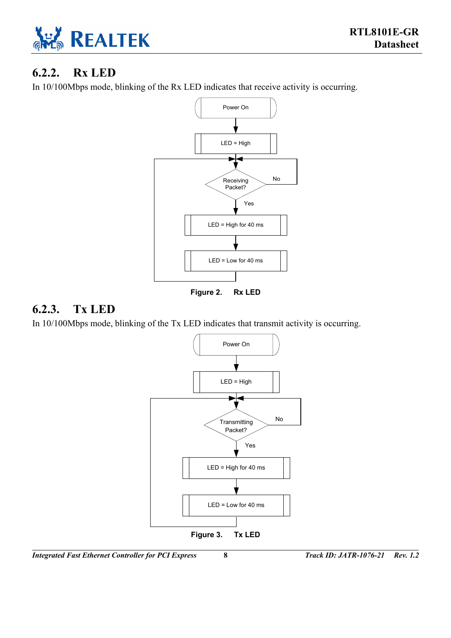

### <span id="page-12-0"></span>**6.2.2. Rx LED**

In 10/100Mbps mode, blinking of the Rx LED indicates that receive activity is occurring.

<span id="page-12-2"></span>

**Figure 2. Rx LED** 

### <span id="page-12-1"></span>**6.2.3. Tx LED**

In 10/100Mbps mode, blinking of the Tx LED indicates that transmit activity is occurring.

<span id="page-12-3"></span>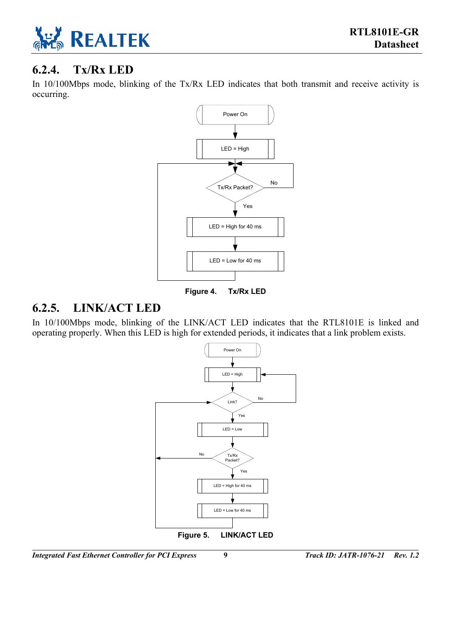

### <span id="page-13-0"></span>**6.2.4. Tx/Rx LED**

In 10/100Mbps mode, blinking of the Tx/Rx LED indicates that both transmit and receive activity is occurring.

<span id="page-13-2"></span>

**Figure 4. Tx/Rx LED** 

### <span id="page-13-1"></span>**6.2.5. LINK/ACT LED**

In 10/100Mbps mode, blinking of the LINK/ACT LED indicates that the RTL8101E is linked and operating properly. When this LED is high for extended periods, it indicates that a link problem exists.

<span id="page-13-3"></span>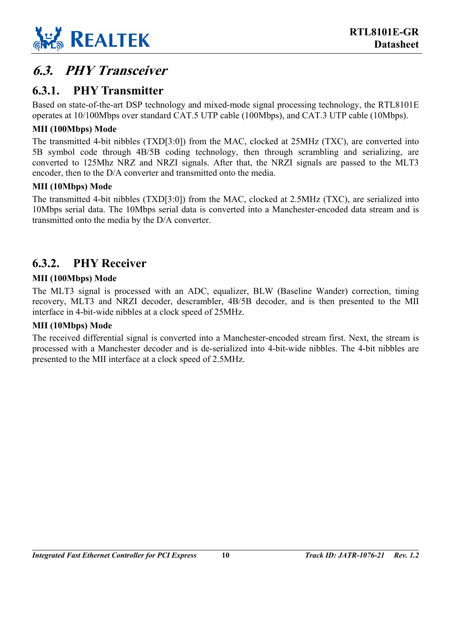

# <span id="page-14-0"></span>**6.3. PHY Transceiver**

### <span id="page-14-1"></span>**6.3.1. PHY Transmitter**

Based on state-of-the-art DSP technology and mixed-mode signal processing technology, the RTL8101E operates at 10/100Mbps over standard CAT.5 UTP cable (100Mbps), and CAT.3 UTP cable (10Mbps).

#### **MII (100Mbps) Mode**

The transmitted 4-bit nibbles (TXD[3:0]) from the MAC, clocked at 25MHz (TXC), are converted into 5B symbol code through 4B/5B coding technology, then through scrambling and serializing, are converted to 125Mhz NRZ and NRZI signals. After that, the NRZI signals are passed to the MLT3 encoder, then to the D/A converter and transmitted onto the media.

#### **MII (10Mbps) Mode**

The transmitted 4-bit nibbles (TXD[3:0]) from the MAC, clocked at 2.5MHz (TXC), are serialized into 10Mbps serial data. The 10Mbps serial data is converted into a Manchester-encoded data stream and is transmitted onto the media by the D/A converter.

### <span id="page-14-2"></span>**6.3.2. PHY Receiver**

#### **MII (100Mbps) Mode**

The MLT3 signal is processed with an ADC, equalizer, BLW (Baseline Wander) correction, timing recovery, MLT3 and NRZI decoder, descrambler, 4B/5B decoder, and is then presented to the MII interface in 4-bit-wide nibbles at a clock speed of 25MHz.

#### **MII (10Mbps) Mode**

The received differential signal is converted into a Manchester-encoded stream first. Next, the stream is processed with a Manchester decoder and is de-serialized into 4-bit-wide nibbles. The 4-bit nibbles are presented to the MII interface at a clock speed of 2.5MHz.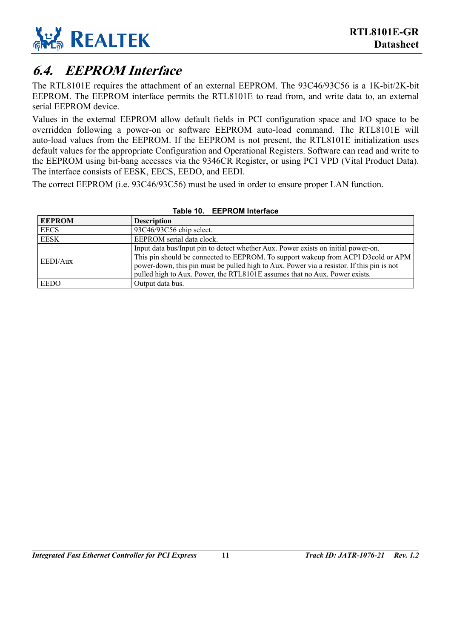

### <span id="page-15-0"></span>**6.4. EEPROM Interface**

The RTL8101E requires the attachment of an external EEPROM. The 93C46/93C56 is a 1K-bit/2K-bit EEPROM. The EEPROM interface permits the RTL8101E to read from, and write data to, an external serial EEPROM device.

Values in the external EEPROM allow default fields in PCI configuration space and I/O space to be overridden following a power-on or software EEPROM auto-load command. The RTL8101E will auto-load values from the EEPROM. If the EEPROM is not present, the RTL8101E initialization uses default values for the appropriate Configuration and Operational Registers. Software can read and write to the EEPROM using bit-bang accesses via the 9346CR Register, or using PCI VPD (Vital Product Data). The interface consists of EESK, EECS, EEDO, and EEDI.

The correct EEPROM (i.e. 93C46/93C56) must be used in order to ensure proper LAN function.

| <b>EEPROM</b> | <b>Description</b>                                                                                                                                                                                                                                                                                                                                |
|---------------|---------------------------------------------------------------------------------------------------------------------------------------------------------------------------------------------------------------------------------------------------------------------------------------------------------------------------------------------------|
| <b>EECS</b>   | 93C46/93C56 chip select.                                                                                                                                                                                                                                                                                                                          |
| <b>EESK</b>   | EEPROM serial data clock.                                                                                                                                                                                                                                                                                                                         |
| EEDI/Aux      | Input data bus/Input pin to detect whether Aux. Power exists on initial power-on.<br>This pin should be connected to EEPROM. To support wakeup from ACPI D3cold or APM<br>power-down, this pin must be pulled high to Aux. Power via a resistor. If this pin is not<br>pulled high to Aux. Power, the RTL8101E assumes that no Aux. Power exists. |
| <b>EEDO</b>   | Output data bus.                                                                                                                                                                                                                                                                                                                                  |

#### <span id="page-15-1"></span>**Table 10. EEPROM Interface**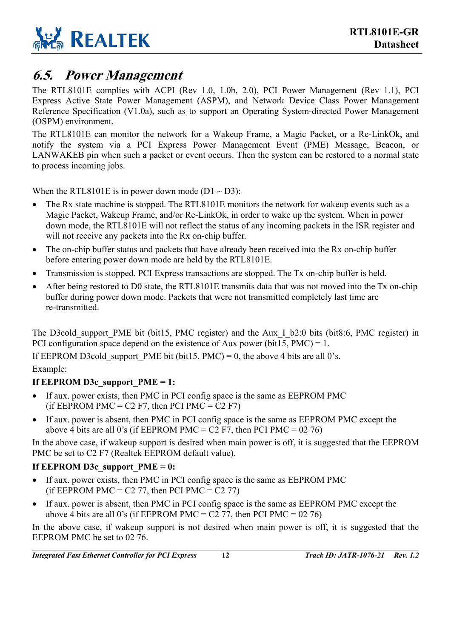

### <span id="page-16-0"></span>**6.5. Power Management**

The RTL8101E complies with ACPI (Rev 1.0, 1.0b, 2.0), PCI Power Management (Rev 1.1), PCI Express Active State Power Management (ASPM), and Network Device Class Power Management Reference Specification (V1.0a), such as to support an Operating System-directed Power Management (OSPM) environment.

The RTL8101E can monitor the network for a Wakeup Frame, a Magic Packet, or a Re-LinkOk, and notify the system via a PCI Express Power Management Event (PME) Message, Beacon, or LANWAKEB pin when such a packet or event occurs. Then the system can be restored to a normal state to process incoming jobs.

When the RTL8101E is in power down mode  $(D1 \sim D3)$ :

- The Rx state machine is stopped. The RTL8101E monitors the network for wakeup events such as a Magic Packet, Wakeup Frame, and/or Re-LinkOk, in order to wake up the system. When in power down mode, the RTL8101E will not reflect the status of any incoming packets in the ISR register and will not receive any packets into the Rx on-chip buffer.
- The on-chip buffer status and packets that have already been received into the Rx on-chip buffer before entering power down mode are held by the RTL8101E.
- Transmission is stopped. PCI Express transactions are stopped. The Tx on-chip buffer is held.
- After being restored to D0 state, the RTL8101E transmits data that was not moved into the Tx on-chip buffer during power down mode. Packets that were not transmitted completely last time are re-transmitted.

The D3cold support PME bit (bit15, PMC register) and the Aux I b2:0 bits (bit8:6, PMC register) in PCI configuration space depend on the existence of Aux power (bit15,  $PMC$ ) = 1.

If EEPROM D3cold support PME bit (bit15, PMC) = 0, the above 4 bits are all 0's. Example:

#### If EEPROM D3c\_support\_PME = 1:

- If aux. power exists, then PMC in PCI config space is the same as EEPROM PMC (if EEPROM PMC = C2 F7, then PCI PMC = C2 F7)
- If aux. power is absent, then PMC in PCI config space is the same as EEPROM PMC except the above 4 bits are all 0's (if EEPROM PMC =  $C2$  F7, then PCI PMC = 02 76)

In the above case, if wakeup support is desired when main power is off, it is suggested that the EEPROM PMC be set to C2 F7 (Realtek EEPROM default value).

#### If EEPROM D3c\_support\_PME = 0:

- If aux. power exists, then PMC in PCI config space is the same as EEPROM PMC (if EEPROM PMC =  $C2$  77, then PCI PMC =  $C2$  77)
- If aux. power is absent, then PMC in PCI config space is the same as EEPROM PMC except the above 4 bits are all 0's (if EEPROM PMC =  $C2$  77, then PCI PMC = 02 76)

In the above case, if wakeup support is not desired when main power is off, it is suggested that the EEPROM PMC be set to 02 76.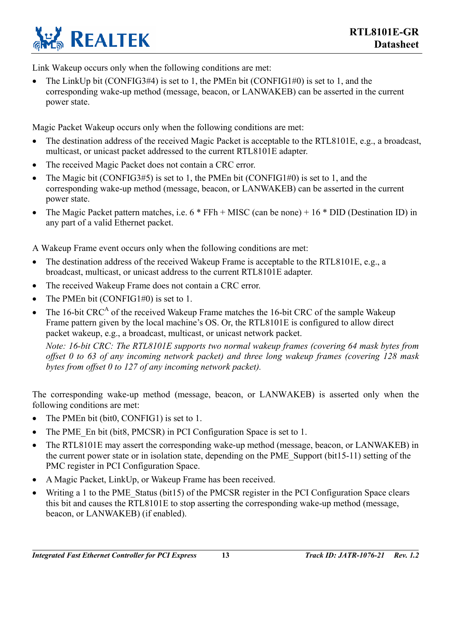

Link Wakeup occurs only when the following conditions are met:

• The LinkUp bit  $(CONFIG3#4)$  is set to 1, the PMEn bit  $(CONFIG1#0)$  is set to 1, and the corresponding wake-up method (message, beacon, or LANWAKEB) can be asserted in the current power state.

Magic Packet Wakeup occurs only when the following conditions are met:

- The destination address of the received Magic Packet is acceptable to the RTL8101E, e.g., a broadcast, multicast, or unicast packet addressed to the current RTL8101E adapter.
- The received Magic Packet does not contain a CRC error.
- The Magic bit (CONFIG3#5) is set to 1, the PMEn bit (CONFIG1#0) is set to 1, and the corresponding wake-up method (message, beacon, or LANWAKEB) can be asserted in the current power state.
- The Magic Packet pattern matches, i.e. 6 \* FFh + MISC (can be none) + 16 \* DID (Destination ID) in any part of a valid Ethernet packet.

A Wakeup Frame event occurs only when the following conditions are met:

- The destination address of the received Wakeup Frame is acceptable to the RTL8101E, e.g., a broadcast, multicast, or unicast address to the current RTL8101E adapter.
- The received Wakeup Frame does not contain a CRC error.
- The PMEn bit (CONFIG1#0) is set to 1.
- The 16-bit CRC<sup>A</sup> of the received Wakeup Frame matches the 16-bit CRC of the sample Wakeup Frame pattern given by the local machine's OS. Or, the RTL8101E is configured to allow direct packet wakeup, e.g., a broadcast, multicast, or unicast network packet.

*Note: 16-bit CRC: The RTL8101E supports two normal wakeup frames (covering 64 mask bytes from offset 0 to 63 of any incoming network packet) and three long wakeup frames (covering 128 mask bytes from offset 0 to 127 of any incoming network packet).* 

The corresponding wake-up method (message, beacon, or LANWAKEB) is asserted only when the following conditions are met:

- The PMEn bit (bit0, CONFIG1) is set to 1.
- The PME En bit (bit8, PMCSR) in PCI Configuration Space is set to 1.
- The RTL8101E may assert the corresponding wake-up method (message, beacon, or LANWAKEB) in the current power state or in isolation state, depending on the PME\_Support (bit15-11) setting of the PMC register in PCI Configuration Space.
- A Magic Packet, LinkUp, or Wakeup Frame has been received.
- Writing a 1 to the PME Status (bit15) of the PMCSR register in the PCI Configuration Space clears this bit and causes the RTL8101E to stop asserting the corresponding wake-up method (message, beacon, or LANWAKEB) (if enabled).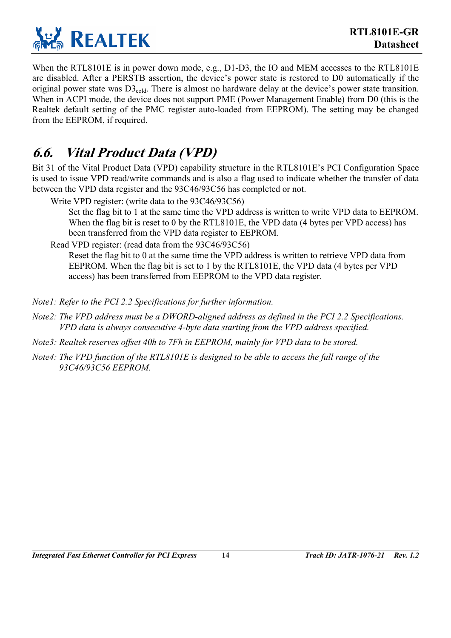

When the RTL8101E is in power down mode, e.g., D1-D3, the IO and MEM accesses to the RTL8101E are disabled. After a PERSTB assertion, the device's power state is restored to D0 automatically if the original power state was  $D_1^3C_2$ <sub>cold</sub>. There is almost no hardware delay at the device's power state transition. When in ACPI mode, the device does not support PME (Power Management Enable) from D0 (this is the Realtek default setting of the PMC register auto-loaded from EEPROM). The setting may be changed from the EEPROM, if required.

# <span id="page-18-0"></span>**6.6. Vital Product Data (VPD)**

Bit 31 of the Vital Product Data (VPD) capability structure in the RTL8101E's PCI Configuration Space is used to issue VPD read/write commands and is also a flag used to indicate whether the transfer of data between the VPD data register and the 93C46/93C56 has completed or not.

Write VPD register: (write data to the 93C46/93C56)

Set the flag bit to 1 at the same time the VPD address is written to write VPD data to EEPROM. When the flag bit is reset to 0 by the RTL8101E, the VPD data (4 bytes per VPD access) has been transferred from the VPD data register to EEPROM.

Read VPD register: (read data from the 93C46/93C56)

Reset the flag bit to 0 at the same time the VPD address is written to retrieve VPD data from EEPROM. When the flag bit is set to 1 by the RTL8101E, the VPD data (4 bytes per VPD access) has been transferred from EEPROM to the VPD data register.

- *Note1: Refer to the PCI 2.2 Specifications for further information.*
- *Note2: The VPD address must be a DWORD-aligned address as defined in the PCI 2.2 Specifications. VPD data is always consecutive 4-byte data starting from the VPD address specified.*
- *Note3: Realtek reserves offset 40h to 7Fh in EEPROM, mainly for VPD data to be stored.*
- *Note4: The VPD function of the RTL8101E is designed to be able to access the full range of the 93C46/93C56 EEPROM.*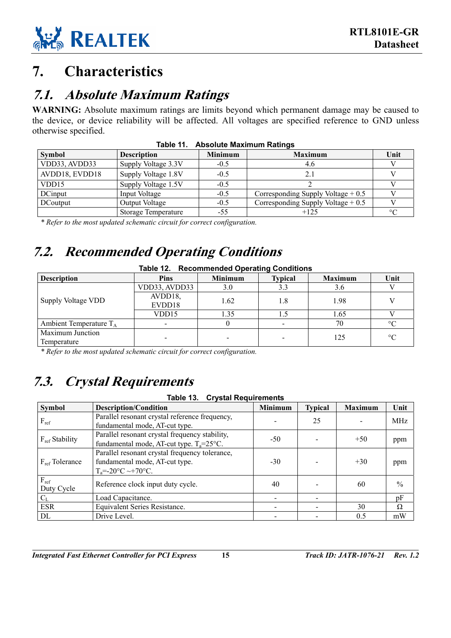

# <span id="page-19-1"></span>**7. Characteristics**

### <span id="page-19-2"></span>**7.1. Absolute Maximum Ratings**

WARNING: Absolute maximum ratings are limits beyond which permanent damage may be caused to the device, or device reliability will be affected. All voltages are specified reference to GND unless otherwise specified.

| $1900 - 11.$ About $0.001$ $1.001$ $1.001$ $1.001$ |                     |                |                                     |         |  |  |  |
|----------------------------------------------------|---------------------|----------------|-------------------------------------|---------|--|--|--|
| Symbol                                             | <b>Description</b>  | <b>Minimum</b> | <b>Maximum</b>                      | Unit    |  |  |  |
| VDD33, AVDD33                                      | Supply Voltage 3.3V | $-0.5$         | 4.6                                 |         |  |  |  |
| AVDD18, EVDD18                                     | Supply Voltage 1.8V | $-0.5$         | 2.1                                 |         |  |  |  |
| VDD15                                              | Supply Voltage 1.5V | $-0.5$         |                                     |         |  |  |  |
| DCinput                                            | Input Voltage       | $-0.5$         | Corresponding Supply Voltage $+0.5$ |         |  |  |  |
| DCoutput                                           | Output Voltage      | $-0.5$         | Corresponding Supply Voltage $+0.5$ |         |  |  |  |
|                                                    | Storage Temperature | $-55$          | $+125$                              | $\circ$ |  |  |  |

<span id="page-19-5"></span>**Table 11. Absolute Maximum Ratings** 

*\* Refer to the most updated schematic circuit for correct configuration.* 

# <span id="page-19-3"></span>**7.2. Recommended Operating Conditions**

<span id="page-19-6"></span>

| Table 12. Recommended Operating Conditions |                   |                |                |                |                 |  |  |
|--------------------------------------------|-------------------|----------------|----------------|----------------|-----------------|--|--|
| <b>Description</b>                         | <b>Pins</b>       | <b>Minimum</b> | <b>Typical</b> | <b>Maximum</b> | Unit            |  |  |
| Supply Voltage VDD                         | VDD33, AVDD33     | 3.0            | 3.3            | 3.6            |                 |  |  |
|                                            | AVDD18,<br>EVDD18 | 1.62           | 1.8            | 1.98           |                 |  |  |
|                                            | VDD15             | 1.35           | 1.5            | 1.65           |                 |  |  |
| Ambient Temperature $T_A$                  |                   |                |                | 70             | $\circ$ C       |  |  |
| Maximum Junction<br>Temperature            |                   |                |                | 125            | $\rm ^{\circ}C$ |  |  |

*\* Refer to the most updated schematic circuit for correct configuration.* 

# <span id="page-19-4"></span>**7.3. Crystal Requirements**

#### <span id="page-19-0"></span>**Table 13. Crystal Requirements**

| <b>Symbol</b>              | <b>Description/Condition</b>                                                                                      | <b>Minimum</b> | <b>Typical</b> | <b>Maximum</b> | Unit          |
|----------------------------|-------------------------------------------------------------------------------------------------------------------|----------------|----------------|----------------|---------------|
| $F_{ref}$                  | Parallel resonant crystal reference frequency,<br>fundamental mode, AT-cut type.                                  |                | 25             |                | <b>MHz</b>    |
| F <sub>ref</sub> Stability | Parallel resonant crystal frequency stability,<br>fundamental mode, AT-cut type. $T_a = 25^{\circ}C$ .            | $-50$          |                | $+50$          | ppm           |
| $F_{ref}$ Tolerance        | Parallel resonant crystal frequency tolerance,<br>fundamental mode, AT-cut type.<br>$T_a = -20$ °C $\sim +70$ °C. | $-30$          |                | $+30$          | ppm           |
| $F_{ref}$<br>Duty Cycle    | Reference clock input duty cycle.                                                                                 | 40             |                | 60             | $\frac{0}{0}$ |
| $C_{L}$                    | Load Capacitance.                                                                                                 |                |                |                | pF            |
| <b>ESR</b>                 | Equivalent Series Resistance.                                                                                     |                |                | 30             | Ω             |
| DL                         | Drive Level.                                                                                                      |                |                | 0.5            | mW            |

*Integrated Fast Ethernet Controller for PCI Express* **15** *Track ID: JATR-1076-21 Rev. 1.2*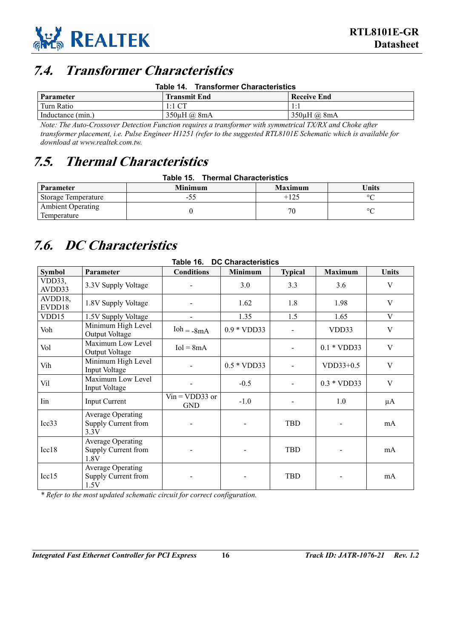

### <span id="page-20-1"></span>**7.4. Transformer Characteristics**

<span id="page-20-0"></span>

| <b>Transformer Characteristics</b><br>Table 14. |
|-------------------------------------------------|
|-------------------------------------------------|

| Parameter         | <b>Transmit End</b>     | <b>Receive End</b> |
|-------------------|-------------------------|--------------------|
| Turn Ratio        | $1:1$ CT                | .                  |
| Inductance (min.) | $350\mu H$ $\omega$ 8mA | 350uH @ 8mA        |

*Note: The Auto-Crossover Detection Function requires a transformer with symmetrical TX/RX and Choke after transformer placement, i.e. Pulse Engineer H1251 (refer to the suggested RTL8101E Schematic which is available for download at www.realtek.com.tw.* 

### <span id="page-20-2"></span>**7.5. Thermal Characteristics**

#### <span id="page-20-5"></span><span id="page-20-4"></span>**Table 15. Thermal Characteristics**

| <b>Parameter</b>                        | <b>Minimum</b> | <b>Maximum</b> | <b>Units</b> |
|-----------------------------------------|----------------|----------------|--------------|
| Storage Temperature                     | -53            | $+125$         | $\circ$      |
| <b>Ambient Operating</b><br>Temperature |                | 70             | $\circ$      |

# <span id="page-20-3"></span>**7.6. DC Characteristics**

| Table 16.<br><b>DC Characteristics</b> |                                                         |                                |                |                |                |                           |  |  |
|----------------------------------------|---------------------------------------------------------|--------------------------------|----------------|----------------|----------------|---------------------------|--|--|
| <b>Symbol</b>                          | Parameter                                               | <b>Conditions</b>              | <b>Minimum</b> | <b>Typical</b> | <b>Maximum</b> | <b>Units</b>              |  |  |
| VDD33,<br>AVDD33                       | 3.3V Supply Voltage                                     |                                | 3.0            | 3.3            | 3.6            | V                         |  |  |
| AVDD18,<br>EVDD18                      | 1.8V Supply Voltage                                     |                                | 1.62           | 1.8            | 1.98           | $\mathbf V$               |  |  |
| VDD15                                  | 1.5V Supply Voltage                                     | $\overline{a}$                 | 1.35           | 1.5            | 1.65           | V                         |  |  |
| Voh                                    | Minimum High Level<br>Output Voltage                    | $Ioh = -8mA$                   | $0.9 * VDD33$  |                | VDD33          | $\ensuremath{\mathsf{V}}$ |  |  |
| Vol                                    | Maximum Low Level<br>Output Voltage                     | $Iol = 8mA$                    |                |                | $0.1 * VDD33$  | $\mathbf V$               |  |  |
| Vih                                    | Minimum High Level<br>Input Voltage                     |                                | $0.5 * VDD33$  |                | $VDD33+0.5$    | V                         |  |  |
| Vil                                    | Maximum Low Level<br>Input Voltage                      |                                | $-0.5$         |                | $0.3 * VDD33$  | V                         |  |  |
| Iin                                    | <b>Input Current</b>                                    | $Vin = VDD33$ or<br><b>GND</b> | $-1.0$         |                | 1.0            | μA                        |  |  |
| Icc33                                  | <b>Average Operating</b><br>Supply Current from<br>3.3V | $\overline{\phantom{a}}$       |                | <b>TBD</b>     |                | mA                        |  |  |
| Icc18                                  | <b>Average Operating</b><br>Supply Current from<br>1.8V |                                |                | <b>TBD</b>     |                | mA                        |  |  |
| Icc15                                  | <b>Average Operating</b><br>Supply Current from<br>1.5V |                                |                | <b>TBD</b>     |                | mA                        |  |  |

*\* Refer to the most updated schematic circuit for correct configuration.*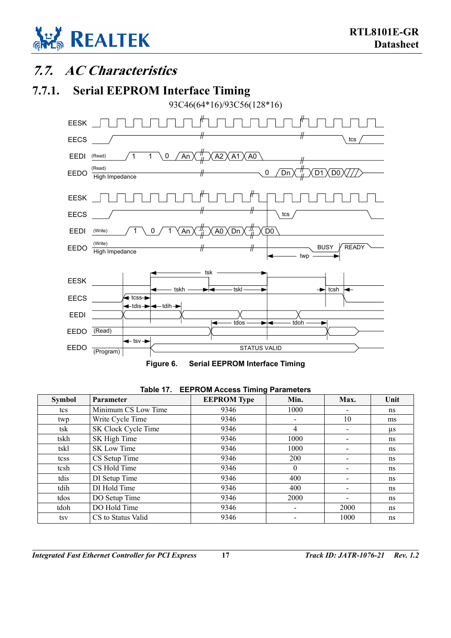

### <span id="page-21-0"></span>**7.7. AC Characteristics**

### **7.7.1. Serial EEPROM Interface Timing**

<span id="page-21-3"></span><span id="page-21-1"></span>



| <b>Symbol</b> | <b>Parameter</b>    | <b>EEPROM Type</b> | Min.     | Max. | Unit    |  |  |  |
|---------------|---------------------|--------------------|----------|------|---------|--|--|--|
| tcs           | Minimum CS Low Time | 9346               | 1000     |      | ns      |  |  |  |
| twp           | Write Cycle Time    | 9346               |          | 10   | ms      |  |  |  |
| tsk           | SK Clock Cycle Time | 9346               | 4        |      | $\mu$ s |  |  |  |
| tskh          | SK High Time        | 9346               | 1000     |      | ns      |  |  |  |
| tskl          | <b>SK Low Time</b>  | 9346               | 1000     |      | ns      |  |  |  |
| tcss          | CS Setup Time       | 9346               | 200      |      | ns      |  |  |  |
| tcsh          | CS Hold Time        | 9346               | $\Omega$ |      | ns      |  |  |  |
| tdis          | DI Setup Time       | 9346               | 400      |      | ns      |  |  |  |
| tdih          | DI Hold Time        | 9346               | 400      |      | ns      |  |  |  |
| tdos          | DO Setup Time       | 9346               | 2000     |      | ns      |  |  |  |
| tdoh          | DO Hold Time        | 9346               |          | 2000 | ns      |  |  |  |
| tsv           | CS to Status Valid  | 9346               |          | 1000 | ns      |  |  |  |

#### <span id="page-21-2"></span>**Table 17. EEPROM Access Timing Parameters**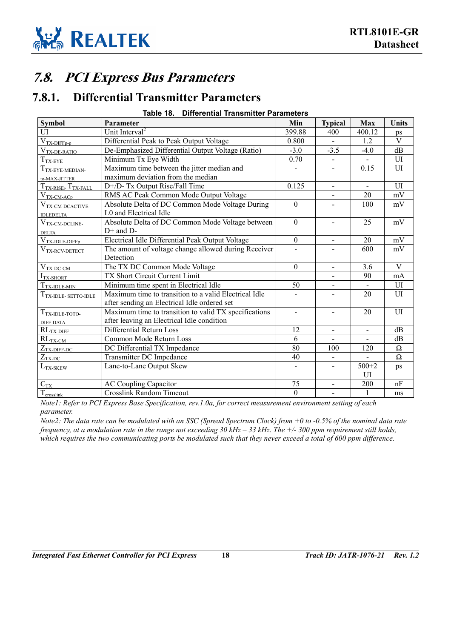

### <span id="page-22-0"></span>**7.8. PCI Express Bus Parameters**

### <span id="page-22-1"></span>**7.8.1. Differential Transmitter Parameters**

#### <span id="page-22-2"></span>**Table 18. Differential Transmitter Parameters**

| <b>Symbol</b>                                    | Parameter                                             | Min            | <b>Typical</b>           | Max                      | <b>Units</b>        |
|--------------------------------------------------|-------------------------------------------------------|----------------|--------------------------|--------------------------|---------------------|
| UI                                               | Unit Interval <sup>2</sup>                            | 399.88         | 400                      | 400.12                   | ps                  |
| $V_{TX-DIFFp-p}$                                 | Differential Peak to Peak Output Voltage              | 0.800          |                          | 1.2                      | $\mathbf V$         |
| $V_{TX-DE-RATIO}$                                | De-Emphasized Differential Output Voltage (Ratio)     | $-3.0$         | $-3.5$                   | $-4.0$                   | dB                  |
| $T_{\rm TX-EYE}$                                 | Minimum Tx Eye Width                                  | 0.70           |                          |                          | UI                  |
| $T_{\rm{TX-EYE-MEDIAN}}$                         | Maximum time between the jitter median and            |                |                          | 0.15                     | UI                  |
| to-MAX-JITTER                                    | maximum deviation from the median                     |                |                          |                          |                     |
| $T_{TX-RISE}$ , $T_{TX-FALL}$                    | D+/D- Tx Output Rise/Fall Time                        | 0.125          | $\overline{\phantom{a}}$ | $\blacksquare$           | UI                  |
| $V_{TX\text{-}CM\text{-}ACp}$                    | RMS AC Peak Common Mode Output Voltage                |                |                          | 20                       | mV                  |
| V <sub>TX-CM-DCACTIVE-</sub>                     | Absolute Delta of DC Common Mode Voltage During       | $\overline{0}$ |                          | 100                      | mV                  |
| <b>IDLEDELTA</b>                                 | L0 and Electrical Idle                                |                |                          |                          |                     |
| $\mathbf{V}_{\text{TX-CM-DCLINE-}}$              | Absolute Delta of DC Common Mode Voltage between      | $\mathbf{0}$   |                          | 25                       | mV                  |
| <b>DELTA</b>                                     | $D+$ and $D-$                                         |                |                          |                          |                     |
| $V_{TX-IDLE-DIFFp}$                              | Electrical Idle Differential Peak Output Voltage      | $\theta$       | $\overline{\phantom{0}}$ | 20                       | mV                  |
| $\mathbf{V}_{\text{TX-RCV-DETECT}}$              | The amount of voltage change allowed during Receiver  |                |                          | 600                      | mV                  |
|                                                  | Detection                                             |                |                          |                          |                     |
| $V_{TX-DC-CM}$                                   | The TX DC Common Mode Voltage                         | $\theta$       | $\blacksquare$           | 3.6                      | $\overline{V}$      |
| $ITX-SHORT$                                      | TX Short Circuit Current Limit                        |                |                          | 90                       | mA                  |
| $T_{TX-IDLE-MIN}$                                | Minimum time spent in Electrical Idle                 | 50             | $\overline{\phantom{0}}$ | $\overline{\phantom{a}}$ | UI                  |
| $T_{\mathrm{TX}\text{-}IDLE\text{-}}$ setto-idle | Maximum time to transition to a valid Electrical Idle |                |                          | 20                       | UI                  |
|                                                  | after sending an Electrical Idle ordered set          |                |                          |                          |                     |
| $T_{\rm TX\text{-}IDLE\text{-}TOTO\text{-}}$     | Maximum time to transition to valid TX specifications | $\overline{a}$ | $\sim$                   | 20                       | UI                  |
| DIFF-DATA                                        | after leaving an Electrical Idle condition            |                |                          |                          |                     |
| $RL_{TX-DIFF}$                                   | Differential Return Loss                              | 12             | $\blacksquare$           | $\overline{\phantom{a}}$ | dB                  |
| $RL_{TX-CM}$                                     | Common Mode Return Loss                               | 6              |                          |                          | dB                  |
| $Z_{TX\text{-DIFF-DC}}$                          | DC Differential TX Impedance                          | 80             | 100                      | 120                      | $\Omega$            |
| $Z_{\rm TX\text{-}DC}$                           | Transmitter DC Impedance                              | 40             |                          |                          | $\overline{\Omega}$ |
| $L_{\rm TX\mbox{-}SKEW}$                         | Lane-to-Lane Output Skew                              |                |                          | $\frac{1}{500+2}$        | ps                  |
|                                                  |                                                       |                |                          | UI                       |                     |
| $C_{\mathrm{TX}}$                                | <b>AC Coupling Capacitor</b>                          | 75             | $\blacksquare$           | 200                      | nF                  |
| $T_{\mbox{\scriptsize crosslink}}$               | <b>Crosslink Random Timeout</b>                       | $\theta$       | $\overline{\phantom{a}}$ | $\mathbf{1}$             | ms                  |

*Note1: Refer to PCI Express Base Specification, rev.1.0a, for correct measurement environment setting of each parameter.* 

*Note2: The data rate can be modulated with an SSC (Spread Spectrum Clock) from +0 to -0.5% of the nominal data rate frequency, at a modulation rate in the range not exceeding 30 kHz – 33 kHz. The +/- 300 ppm requirement still holds, which requires the two communicating ports be modulated such that they never exceed a total of 600 ppm difference.*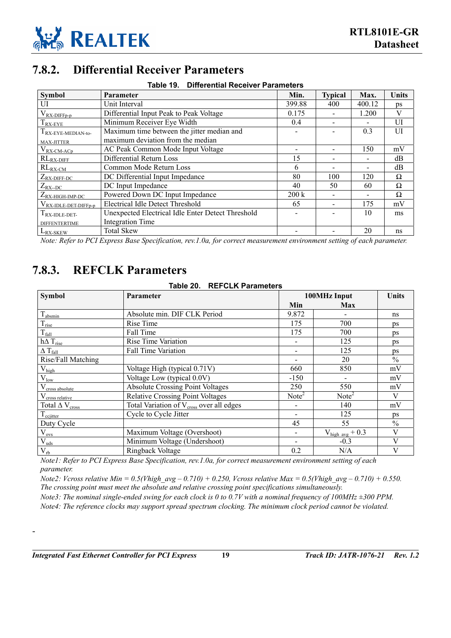

### **7.8.2. Differential Receiver Parameters**

<span id="page-23-2"></span><span id="page-23-0"></span>

| Table 19. Differential Receiver Parameters |                                                   |                   |                          |                          |       |
|--------------------------------------------|---------------------------------------------------|-------------------|--------------------------|--------------------------|-------|
| <b>Symbol</b>                              | Parameter                                         | Min.              | <b>Typical</b>           | Max.                     | Units |
| UI                                         | Unit Interval                                     | 399.88            | 400                      | 400.12                   | ps    |
| $V_{RX-DIFFp-p}$                           | Differential Input Peak to Peak Voltage           | 0.175             |                          | 1.200                    | V     |
| I RX-EYE                                   | Minimum Receiver Eye Width                        | 0.4               |                          |                          | UI    |
| I RX-EYE-MEDIAN-to-                        | Maximum time between the jitter median and        |                   |                          | 0.3                      | UI    |
| MAX-JITTER                                 | maximum deviation from the median                 |                   |                          |                          |       |
| $V_{RX-CM-ACp}$                            | AC Peak Common Mode Input Voltage                 |                   |                          | 150                      | mV    |
| $RL_{RX-DIFF}$                             | Differential Return Loss                          | 15                | $\overline{\phantom{a}}$ |                          | dВ    |
| $RL_{R\underline{X}-\underline{CM}}$       | Common Mode Return Loss                           | 6                 |                          | $\overline{\phantom{0}}$ | dВ    |
| $Z_{RX-DIFF-DC}$                           | DC Differential Input Impedance                   | 80                | 100                      | 120                      | Ω     |
| $Z_{\text{RX-DC}}$                         | DC Input Impedance                                | 40                | 50                       | 60                       | Ω     |
| $Z_{RX\text{-HIGH-IMP-DC}}$                | Powered Down DC Input Impedance                   | $200\,\mathrm{k}$ |                          |                          | Ω     |
| $V_{RX- IDLE-DET-DIFFp-p$                  | <b>Electrical Idle Detect Threshold</b>           | 65                |                          | 175                      | mV    |
| $1_{\text{RX-IDLE-DET}}$                   | Unexpected Electrical Idle Enter Detect Threshold |                   |                          | 10                       | ms    |
| <b>DIFFENTERTIME</b>                       | <b>Integration Time</b>                           |                   |                          |                          |       |
| $L_{RX-SKEW}$                              | <b>Total Skew</b>                                 |                   |                          | 20                       | ns    |

*Note: Refer to PCI Express Base Specification, rev.1.0a, for correct measurement environment setting of each parameter.* 

### <span id="page-23-1"></span>**7.8.3. REFCLK Parameters**

<span id="page-23-3"></span>

| Table 20. | <b>REFCLK Parameters</b> |  |
|-----------|--------------------------|--|
|-----------|--------------------------|--|

| <b>Symbol</b>                     | <b>Parameter</b>                                     | 100MHz Input             | <b>Units</b>                |               |
|-----------------------------------|------------------------------------------------------|--------------------------|-----------------------------|---------------|
|                                   |                                                      | Min                      | Max                         |               |
| $T_{\text{absmin}}$               | Absolute min. DIF CLK Period                         | 9.872                    |                             | ns            |
| $\rm T_{rise}$                    | Rise Time                                            | 175                      | 700                         | ps            |
| $T_{\text{fall}}$                 | Fall Time                                            | 175                      | 700                         | ps            |
| $\hbar \Delta$ $T_{\rm rise}$     | Rise Time Variation                                  |                          | 125                         | ps            |
| $\Delta$ T <sub>fall</sub>        | Fall Time Variation                                  |                          | 125                         | ps            |
| Rise/Fall Matching                |                                                      |                          | 20                          | $\%$          |
| $V_{\text{high}}$                 | Voltage High (typical 0.71V)                         | 660                      | 850                         | mV            |
| $\rm V_{low}$                     | Voltage Low (typical 0.0V)                           | $-150$                   |                             | mV            |
| V <sub>cross</sub> absolute       | <b>Absolute Crossing Point Voltages</b>              | 250                      | 550                         | mV            |
| V <sub>cross relative</sub>       | <b>Relative Crossing Point Voltages</b>              | Note <sup>2</sup>        | Note <sup>2</sup>           | V             |
| Total $\Delta$ V <sub>cross</sub> | Total Variation of V <sub>cross</sub> over all edges |                          | 140                         | mV            |
| $T_{\text{ccjitter}}$             | Cycle to Cycle Jitter                                | $\overline{\phantom{a}}$ | 125                         | ps            |
| Duty Cycle                        |                                                      | 45                       | 55                          | $\frac{0}{0}$ |
| $V_{ovs}$                         | Maximum Voltage (Overshoot)                          | $\overline{\phantom{0}}$ | $V_{\text{high avg}} + 0.3$ | V             |
| $V_{uds}$                         | Minimum Voltage (Undershoot)                         | $\overline{\phantom{a}}$ | $-0.3$                      | V             |
| $V_{rb}$                          | Ringback Voltage                                     | 0.2                      | N/A                         | V             |

*Note1: Refer to PCI Express Base Specification, rev.1.0a, for correct measurement environment setting of each parameter.* 

*Note2: Vcross relative Min = 0.5(Vhigh avg – 0.710) + 0.250, Vcross relative Max = 0.5(Vhigh avg – 0.710) + 0.550. The crossing point must meet the absolute and relative crossing point specifications simultaneously.* 

*Note3: The nominal single-ended swing for each clock is 0 to 0.7V with a nominal frequency of 100MHz*  $\pm$ *300 PPM. Note4: The reference clocks may support spread spectrum clocking. The minimum clock period cannot be violated.* 

-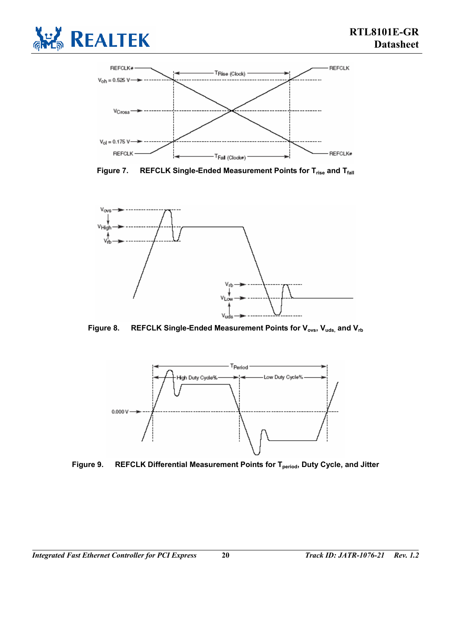

<span id="page-24-0"></span>

Figure 7. REFCLK Single-Ended Measurement Points for T<sub>rise</sub> and T<sub>fall</sub>

<span id="page-24-1"></span>

Figure 8. REFCLK Single-Ended Measurement Points for V<sub>ovs</sub>, V<sub>uds</sub>, and V<sub>rb</sub>

<span id="page-24-2"></span>

Figure 9. REFCLK Differential Measurement Points for T<sub>period</sub>, Duty Cycle, and Jitter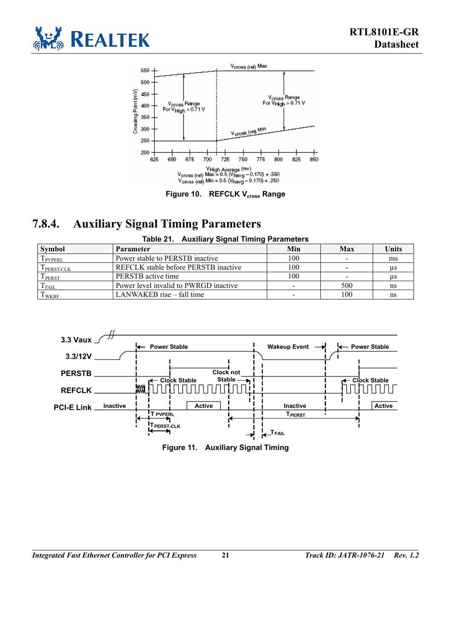

<span id="page-25-2"></span>

#### <span id="page-25-1"></span>Figure 10. REFCLK V<sub>cross</sub> Range

### **7.8.4. Auxiliary Signal Timing Parameters**

<span id="page-25-0"></span>

| Table 21. Auxiliary Signal Timing Parameters |                                       |     |                          |       |
|----------------------------------------------|---------------------------------------|-----|--------------------------|-------|
| Symbol                                       | Parameter                             | Min | <b>Max</b>               | Units |
| $T_{\rm PVPERL}$                             | Power stable to PERSTB inactive       | 100 | $\overline{\phantom{0}}$ | ms    |
| T <sub>PERST-CLK</sub>                       | REFCLK stable before PERSTB inactive  | 100 | $\sim$                   | us    |
| TPERST                                       | PERSTB active time                    | 100 |                          | us    |
| $T_{FAIL}$                                   | Power level invalid to PWRGD inactive |     | 500                      | ns    |
| T <sub>WKRF</sub>                            | LANWAKEB rise – fall time             |     | 100                      | ns    |



<span id="page-25-3"></span>**Figure 11. Auxiliary Signal Timing**